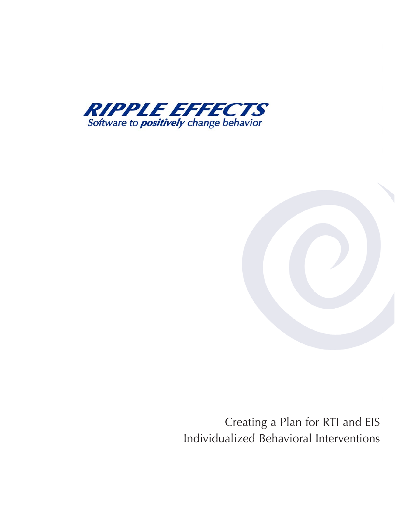



Creating a Plan for RTI and EIS Individualized Behavioral Interventions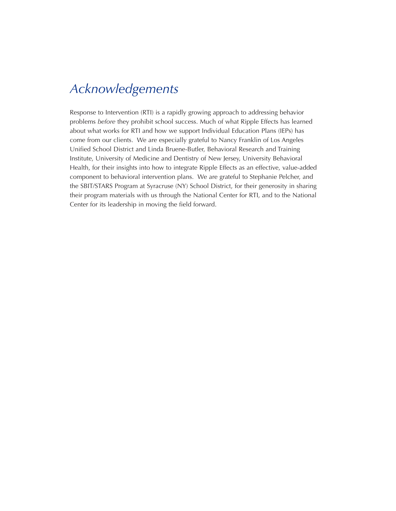## *Acknowledgements*

Response to Intervention (RTI) is a rapidly growing approach to addressing behavior problems *before* they prohibit school success. Much of what Ripple Effects has learned about what works for RTI and how we support Individual Education Plans (IEPs) has come from our clients. We are especially grateful to Nancy Franklin of Los Angeles Unified School District and Linda Bruene-Butler, Behavioral Research and Training Institute, University of Medicine and Dentistry of New Jersey, University Behavioral Health, for their insights into how to integrate Ripple Effects as an effective, value-added component to behavioral intervention plans. We are grateful to Stephanie Pelcher, and the SBIT/STARS Program at Syracruse (NY) School District, for their generosity in sharing their program materials with us through the National Center for RTI, and to the National Center for its leadership in moving the field forward.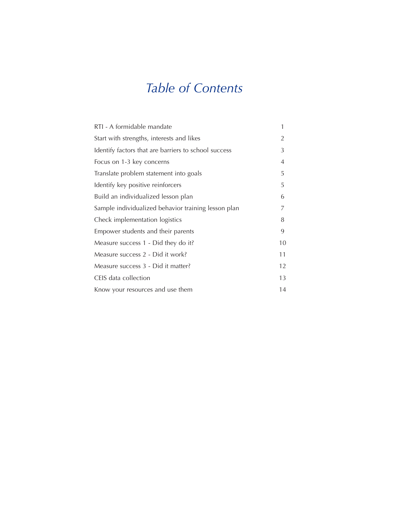# *Table of Contents*

| RTI - A formidable mandate                           | 1  |
|------------------------------------------------------|----|
| Start with strengths, interests and likes            | 2  |
| Identify factors that are barriers to school success | 3  |
| Focus on 1-3 key concerns                            | 4  |
| Translate problem statement into goals               | 5  |
| Identify key positive reinforcers                    | 5  |
| Build an individualized lesson plan                  | 6  |
| Sample individualized behavior training lesson plan  | 7  |
| Check implementation logistics                       | 8  |
| Empower students and their parents                   | 9  |
| Measure success 1 - Did they do it?                  | 10 |
| Measure success 2 - Did it work?                     | 11 |
| Measure success 3 - Did it matter?                   | 12 |
| CEIS data collection                                 | 13 |
| Know your resources and use them                     | 14 |
|                                                      |    |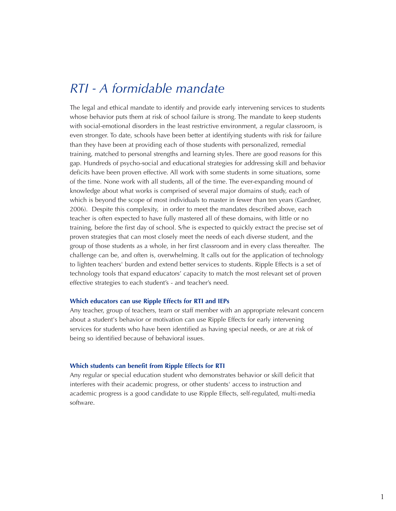## *RTI - A formidable mandate*

The legal and ethical mandate to identify and provide early intervening services to students whose behavior puts them at risk of school failure is strong. The mandate to keep students with social-emotional disorders in the least restrictive environment, a regular classroom, is even stronger. To date, schools have been better at identifying students with risk for failure than they have been at providing each of those students with personalized, remedial training, matched to personal strengths and learning styles. There are good reasons for this gap. Hundreds of psycho-social and educational strategies for addressing skill and behavior deficits have been proven effective. All work with some students in some situations, some of the time. None work with all students, all of the time. The ever-expanding mound of knowledge about what works is comprised of several major domains of study, each of which is beyond the scope of most individuals to master in fewer than ten years (Gardner, 2006). Despite this complexity, in order to meet the mandates described above, each teacher is often expected to have fully mastered all of these domains, with little or no training, before the first day of school. S/he is expected to quickly extract the precise set of proven strategies that can most closely meet the needs of each diverse student, and the group of those students as a whole, in her first classroom and in every class thereafter. The challenge can be, and often is, overwhelming. It calls out for the application of technology to lighten teachers' burden and extend better services to students. Ripple Effects is a set of technology tools that expand educators' capacity to match the most relevant set of proven effective strategies to each student's - and teacher's need.

### **Which educators can use Ripple Effects for RTI and IEPs**

Any teacher, group of teachers, team or staff member with an appropriate relevant concern about a student's behavior or motivation can use Ripple Effects for early intervening services for students who have been identified as having special needs, or are at risk of being so identified because of behavioral issues.

### **Which students can benefit from Ripple Effects for RTI**

Any regular or special education student who demonstrates behavior or skill deficit that interferes with their academic progress, or other students' access to instruction and academic progress is a good candidate to use Ripple Effects, self-regulated, multi-media software.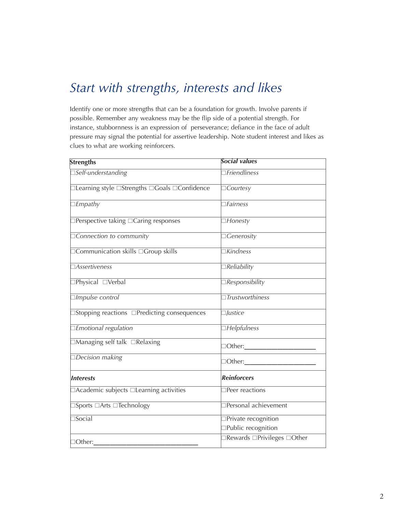# Start with strengths, interests and likes

Identify one or more strengths that can be a foundation for growth. Involve parents if possible. Remember any weakness may be the flip side of a potential strength. For instance, stubbornness is an expression of perseverance; defiance in the face of adult pressure may signal the potential for assertive leadership. Note student interest and likes as clues to what are working reinforcers.

| <b>Strengths</b>                                                      | <b>Social values</b>                        |
|-----------------------------------------------------------------------|---------------------------------------------|
| $\overline{\Box S}$ elf-understanding                                 | $\Box$ Friendliness                         |
| $\Box$ Learning style $\Box$ Strengths $\Box$ Goals $\Box$ Confidence | $\Box$ Courtesy                             |
| $\Box$ <i>Empathy</i>                                                 | $\Box$ Fairness                             |
| $\Box$ Perspective taking $\Box$ Caring responses                     | $\Box$ Honesty                              |
| Connection to community                                               | $\Box$ <i>Cenerosity</i>                    |
| □ Communication skills □ Group skills                                 | Kindness                                    |
| <b>Assertiveness</b>                                                  | Reliability                                 |
| □Physical □Verbal                                                     | $\Box$ Responsibility                       |
| Impulse control                                                       | $\Box$ Trustworthiness                      |
| □Stopping reactions □Predicting consequences                          | $\Box$ <i>Justice</i>                       |
| Emotional regulation                                                  | $\Box$ Helpfulness                          |
| $\Box$ Managing self talk $\Box$ Relaxing                             | $\Box$ Other: $\_\_\_\_\_\_\_\$             |
| Decision making                                                       | $\Box$ Other: $\_\_\_\_\_\_\_\_\_\$         |
| <b>Interests</b>                                                      | <b>Reinforcers</b>                          |
| □Academic subjects □Learning activities                               | $\Box$ Peer reactions                       |
| $\exists$ Sports $\Box$ Arts $\Box$ Technology                        | Personal achievement                        |
| $\Box$ Social                                                         | □Private recognition<br>□Public recognition |
| $\Box$ Other:                                                         | <b>Rewards □Privileges □Other</b>           |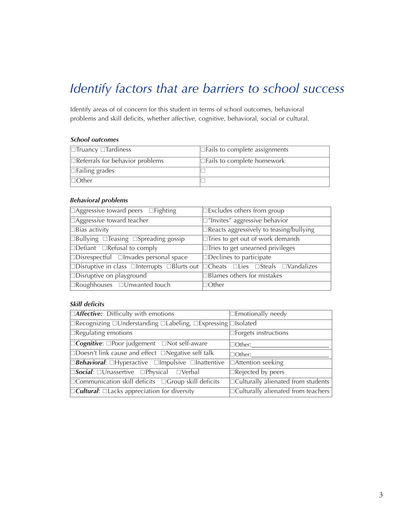# Identify factors that are barriers to school success

Identify areas of of concern for this student in terms of school outcomes, behavioral problems and skill deficits, whether affective, cognitive, behavioral, social or cultural.

## **School outcomes**

| $\Box$ Truancy $\Box$ Tardiness        | $\Box$ Fails to complete assignments |
|----------------------------------------|--------------------------------------|
| $\Box$ Referrals for behavior problems | $\Box$ Fails to complete homework    |
| $\Box$ Failing grades                  |                                      |
| $\Box$ Other                           |                                      |

### **Behavioral problems**

| $\Box$ Aggressive toward peers $\Box$ Fighting                                                                           | $\Box$ Excludes others from group              |
|--------------------------------------------------------------------------------------------------------------------------|------------------------------------------------|
| $\Box$ Aggressive toward teacher                                                                                         | $\square$ "Invites" aggressive behavior        |
| $\Box$ Bias activity                                                                                                     | $\Box$ Reacts aggressively to teasing/bullying |
| $\Box$ Bullying $\Box$ Teasing $\Box$ Spreading gossip                                                                   | $\Box$ Tries to get out of work demands        |
| $\Box$ Defiant $\Box$ Refusal to comply                                                                                  | $\Box$ Tries to get unearned privileges        |
| $\Box$ Disrespectful $\Box$ Invades personal space                                                                       | $\Box$ Declines to participate                 |
| $\Box$ Disruptive in class $\Box$ Interrupts $\Box$ Blurts out $\Box$ Cheats $\Box$ Lies $\Box$ Steals $\Box$ Vandalizes |                                                |
| $\Box$ Disruptive on playground                                                                                          | Blames others for mistakes                     |
| $\Box$ Roughhouses $\Box$ Unwanted touch                                                                                 | ]Other                                         |

## **Skill deficits**

| $\Box$ <b>Affective:</b> Difficulty with emotions                                          | $\Box$ Emotionally needy                  |
|--------------------------------------------------------------------------------------------|-------------------------------------------|
| $\Box$ Recognizing $\Box$ Understanding $\Box$ Labeling, $\Box$ Expressing $\Box$ Isolated |                                           |
| $\Box$ Regulating emotions                                                                 | $\Box$ Forgets instructions               |
| $\Box$ Cognitive: $\Box$ Poor judgement $\Box$ Not self-aware                              | $\Box$ Other:                             |
| $\Box$ Doesn't link cause and effect $\Box$ Negative self talk                             | $\Box$ Other:                             |
| $\Box$ Behavioral: $\Box$ Hyperactive $\Box$ Impulsive $\Box$ Inattentive                  | □Attention seeking                        |
| $\Box$ Social: $\Box$ Unassertive $\Box$ Physical $\Box$ Verbal                            | $\Box$ Rejected by peers                  |
| $\Box$ Communication skill deficits $\Box$ Group skill deficits                            | $\Box$ Culturally alienated from students |
| $\Box$ Cultural: $\Box$ Lacks appreciation for diversity                                   | $\Box$ Culturally alienated from teachers |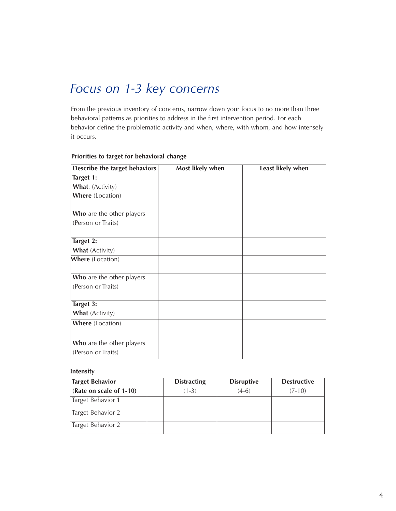## *Focus on 1-3 key concerns*

From the previous inventory of concerns, narrow down your focus to no more than three behavioral patterns as priorities to address in the first intervention period. For each behavior define the problematic activity and when, where, with whom, and how intensely it occurs.

| Describe the target behaviors | Most likely when | Least likely when |
|-------------------------------|------------------|-------------------|
| Target 1:                     |                  |                   |
| What: (Activity)              |                  |                   |
| Where (Location)              |                  |                   |
|                               |                  |                   |
| Who are the other players     |                  |                   |
| (Person or Traits)            |                  |                   |
| Target 2:                     |                  |                   |
| What (Activity)               |                  |                   |
| Where (Location)              |                  |                   |
| Who are the other players     |                  |                   |
| (Person or Traits)            |                  |                   |
| Target 3:                     |                  |                   |
| What (Activity)               |                  |                   |
| <b>Where</b> (Location)       |                  |                   |
|                               |                  |                   |
| Who are the other players     |                  |                   |
| (Person or Traits)            |                  |                   |

### **Priorities to target for behavioral change**

### **Intensity**

| <b>Target Behavior</b>  | <b>Distracting</b> | <b>Disruptive</b> | <b>Destructive</b> |
|-------------------------|--------------------|-------------------|--------------------|
| (Rate on scale of 1-10) | $(1-3)$            | $(4-6)$           | $(7-10)$           |
| Target Behavior 1       |                    |                   |                    |
| Target Behavior 2       |                    |                   |                    |
| Target Behavior 2       |                    |                   |                    |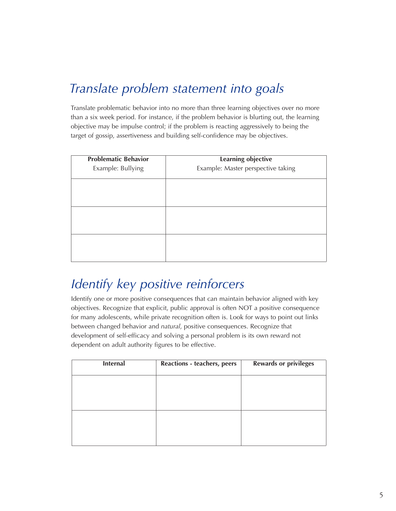# *Translate problem statement into goals*

Translate problematic behavior into no more than three learning objectives over no more than a six week period. For instance, if the problem behavior is blurting out, the learning objective may be impulse control; if the problem is reacting aggressively to being the target of gossip, assertiveness and building self-confidence may be objectives.

| <b>Problematic Behavior</b> | Learning objective                 |
|-----------------------------|------------------------------------|
| Example: Bullying           | Example: Master perspective taking |
|                             |                                    |
|                             |                                    |
|                             |                                    |
|                             |                                    |
|                             |                                    |
|                             |                                    |

# *Identify key positive reinforcers*

Identify one or more positive consequences that can maintain behavior aligned with key objectives. Recognize that explicit, public approval is often NOT a positive consequence for many adolescents, while private recognition often is. Look for ways to point out links between changed behavior and *natural*, positive consequences. Recognize that development of self-efficacy and solving a personal problem is its own reward not dependent on adult authority figures to be effective.

| <b>Internal</b> | <b>Reactions - teachers, peers</b> | <b>Rewards or privileges</b> |
|-----------------|------------------------------------|------------------------------|
|                 |                                    |                              |
|                 |                                    |                              |
|                 |                                    |                              |
|                 |                                    |                              |
|                 |                                    |                              |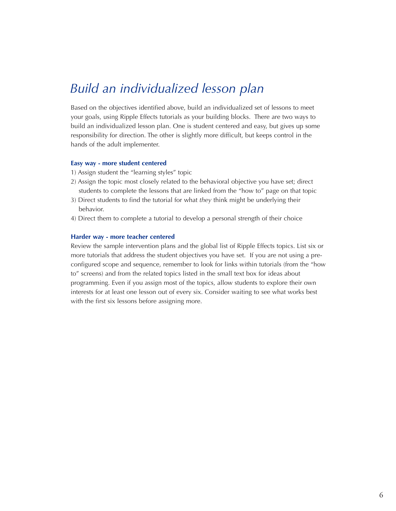## *Build an individualized lesson plan*

Based on the objectives identified above, build an individualized set of lessons to meet your goals, using Ripple Effects tutorials as your building blocks. There are two ways to build an individualized lesson plan. One is student centered and easy, but gives up some responsibility for direction. The other is slightly more difficult, but keeps control in the hands of the adult implementer.

### **Easy way - more student centered**

- 1) Assign student the "learning styles" topic
- 2) Assign the topic most closely related to the behavioral objective you have set; direct students to complete the lessons that are linked from the "how to" page on that topic
- 3) Direct students to find the tutorial for what *they* think might be underlying their behavior.
- 4) Direct them to complete a tutorial to develop a personal strength of their choice

### **Harder way - more teacher centered**

Review the sample intervention plans and the global list of Ripple Effects topics. List six or more tutorials that address the student objectives you have set. If you are not using a preconfigured scope and sequence, remember to look for links within tutorials (from the "how to" screens) and from the related topics listed in the small text box for ideas about programming. Even if you assign most of the topics, allow students to explore their own interests for at least one lesson out of every six. Consider waiting to see what works best with the first six lessons before assigning more.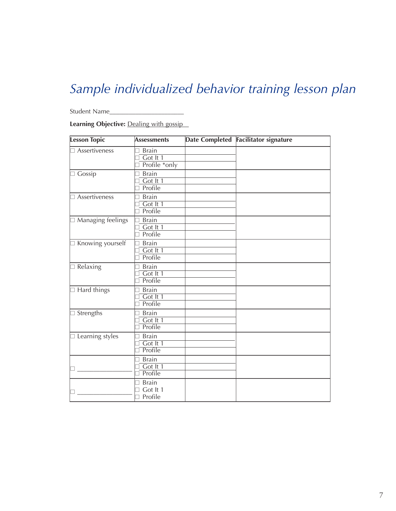# *Sample individualized behavior training lesson plan*

Student Name\_\_\_\_\_\_\_\_\_\_\_\_\_\_\_\_\_\_\_\_\_\_\_

**Learning Objective:** Dealing with gossip

| <b>Lesson Topic</b>   | <b>Assessments</b>                        | Date Completed Facilitator signature |
|-----------------------|-------------------------------------------|--------------------------------------|
| Assertiveness         | <b>Brain</b><br>Got It 1<br>Profile *only |                                      |
| Gossip                | <b>Brain</b><br>Got It 1<br>Profile       |                                      |
| Assertiveness         | <b>Brain</b><br>Got It 1<br>Profile       |                                      |
| Managing feelings     | <b>Brain</b><br>Got It 1<br>Profile       |                                      |
| □ Knowing yourself    | <b>Brain</b><br>Got It 1<br>Profile       |                                      |
| Relaxing              | <b>Brain</b><br>Got It 1<br>Profile       |                                      |
| $\exists$ Hard things | <b>Brain</b><br>Got It 1<br>Profile       |                                      |
| □ Strengths           | <b>Brain</b><br>Got It 1<br>Profile       |                                      |
| □ Learning styles     | <b>Brain</b><br>Got It 1<br>Profile       |                                      |
|                       | <b>Brain</b><br>Got It 1<br>Profile       |                                      |
|                       | <b>Brain</b><br>Got It 1<br>Profile       |                                      |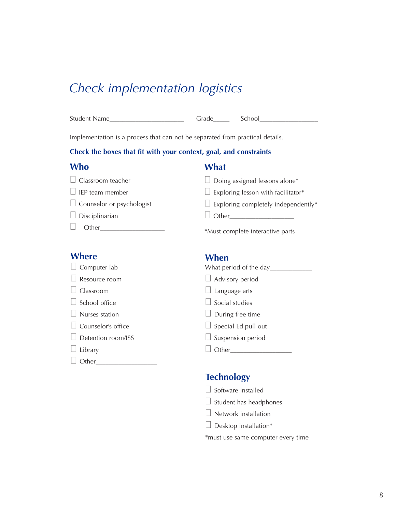## *Check implementation logistics*

| $\sim$<br>5tı<br>`<br>. | н<br>u |
|-------------------------|--------|
|-------------------------|--------|

Implementation is a process that can not be separated from practical details.

## **Check the boxes that fit with your context, goal, and constraints**

## **What**

| $\Box$ Classroom teacher         | $\Box$ Doing assigned lessons alone*       |
|----------------------------------|--------------------------------------------|
| $\Box$ IEP team member           | $\Box$ Exploring lesson with facilitator*  |
| $\Box$ Counselor or psychologist | $\Box$ Exploring completely independently* |
| $\Box$ Disciplinarian            | $\Box$ Other                               |
| Other                            | *Must complete interactive parts           |

## **Where**

| $\Box$ Computer lab |  |
|---------------------|--|
|                     |  |

 $\Box$  Resource room

- □ Classroom
- $\Box$  School office
- $\Box$  Nurses statio
- $\Box$  Counselor's
- $\Box$  Detention ro
- $\Box$  Library
- Other\_\_\_\_\_\_\_\_\_\_\_\_\_\_\_\_\_\_\_

## **When**

| b      | What period of the day____ |  |
|--------|----------------------------|--|
| эm     | $\Box$ Advisory period     |  |
|        | $\Box$ Language arts       |  |
| 5      | $\Box$ Social studies      |  |
| )n     | $\Box$ During free time    |  |
| office | $\Box$ Special Ed pull out |  |
| om/ISS | $\Box$ Suspension period   |  |
|        | Other                      |  |
|        |                            |  |

## **Technology**

- $\Box$  Software installed
- $\Box$  Student has headphones
- $\Box$  Network installation
- $\Box$  Desktop installation\*

\*must use same computer every time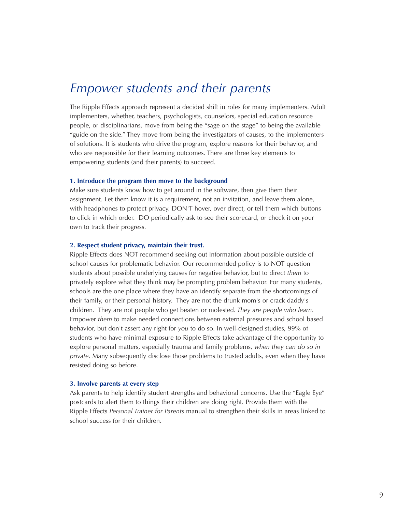## *Empower students and their parents*

The Ripple Effects approach represent a decided shift in roles for many implementers. Adult implementers, whether, teachers, psychologists, counselors, special education resource people, or disciplinarians, move from being the "sage on the stage" to being the available "guide on the side." They move from being the investigators of causes, to the implementers of solutions. It is students who drive the program, explore reasons for their behavior, and who are responsible for their learning outcomes. There are three key elements to empowering students (and their parents) to succeed.

### **1. Introduce the program then move to the background**

Make sure students know how to get around in the software, then give them their assignment. Let them know it is a requirement, not an invitation, and leave them alone, with headphones to protect privacy. DON'T hover, over direct, or tell them which buttons to click in which order. DO periodically ask to see their scorecard, or check it on your own to track their progress.

### **2. Respect student privacy, maintain their trust.**

Ripple Effects does NOT recommend seeking out information about possible outside of school causes for problematic behavior. Our recommended policy is to NOT question students about possible underlying causes for negative behavior, but to direct *them* to privately explore what they think may be prompting problem behavior. For many students, schools are the one place where they have an identify separate from the shortcomings of their family, or their personal history. They are not the drunk mom's or crack daddy's children. They are not people who get beaten or molested. *They are people who learn*. Empower *them* to make needed connections between external pressures and school based behavior, but don't assert any right for *you* to do so. In well-designed studies, 99% of students who have minimal exposure to Ripple Effects take advantage of the opportunity to explore personal matters, especially trauma and family problems, *when they can do so in private*. Many subsequently disclose those problems to trusted adults, even when they have resisted doing so before.

### **3. Involve parents at every step**

Ask parents to help identify student strengths and behavioral concerns. Use the "Eagle Eye" postcards to alert them to things their children are doing right. Provide them with the Ripple Effects *Personal Trainer for Parents* manual to strengthen their skills in areas linked to school success for their children.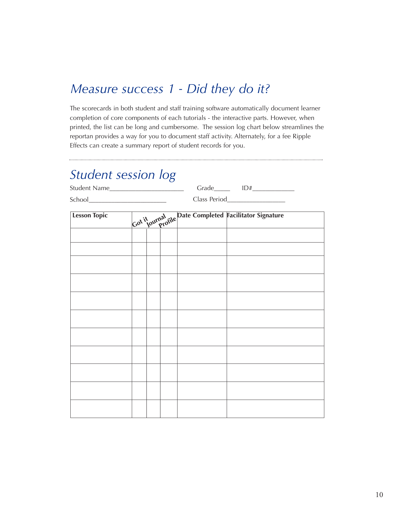## *Measure success 1 - Did they do it?*

The scorecards in both student and staff training software automatically document learner completion of core components of each tutorials - the interactive parts. However, when printed, the list can be long and cumbersome. The session log chart below streamlines the reportan provides a way for you to document staff activity. Alternately, for a fee Ripple Effects can create a summary report of student records for you.

## *Student session log*

| <u>Jiuuchii session ng</u>                                                                                                                                                                                                                                                                                                                                                                                                        |              |                                  |  |                                                         |  |  |
|-----------------------------------------------------------------------------------------------------------------------------------------------------------------------------------------------------------------------------------------------------------------------------------------------------------------------------------------------------------------------------------------------------------------------------------|--------------|----------------------------------|--|---------------------------------------------------------|--|--|
|                                                                                                                                                                                                                                                                                                                                                                                                                                   | Student Name |                                  |  |                                                         |  |  |
| $\begin{tabular}{ c c } \hline \multicolumn{3}{ c }{\textbf{School}} & \multicolumn{3}{ c }{\textbf{1} & \textbf{1} & \textbf{1} & \textbf{1} & \textbf{1} & \textbf{1} & \textbf{1} & \textbf{1} & \textbf{1} & \textbf{1} & \textbf{1} & \textbf{1} & \textbf{1} & \textbf{1} & \textbf{1} & \textbf{1} & \textbf{1} & \textbf{1} & \textbf{1} & \textbf{1} & \textbf{1} & \textbf{1} & \textbf{1} & \textbf{1} & \textbf{1} &$ |              | Class Period____________________ |  |                                                         |  |  |
| <b>Lesson Topic</b>                                                                                                                                                                                                                                                                                                                                                                                                               |              |                                  |  | Got it ournal rile Date Completed Facilitator Signature |  |  |
|                                                                                                                                                                                                                                                                                                                                                                                                                                   |              |                                  |  |                                                         |  |  |
|                                                                                                                                                                                                                                                                                                                                                                                                                                   |              |                                  |  |                                                         |  |  |
|                                                                                                                                                                                                                                                                                                                                                                                                                                   |              |                                  |  |                                                         |  |  |
|                                                                                                                                                                                                                                                                                                                                                                                                                                   |              |                                  |  |                                                         |  |  |
|                                                                                                                                                                                                                                                                                                                                                                                                                                   |              |                                  |  |                                                         |  |  |
|                                                                                                                                                                                                                                                                                                                                                                                                                                   |              |                                  |  |                                                         |  |  |
|                                                                                                                                                                                                                                                                                                                                                                                                                                   |              |                                  |  |                                                         |  |  |
|                                                                                                                                                                                                                                                                                                                                                                                                                                   |              |                                  |  |                                                         |  |  |
|                                                                                                                                                                                                                                                                                                                                                                                                                                   |              |                                  |  |                                                         |  |  |
|                                                                                                                                                                                                                                                                                                                                                                                                                                   |              |                                  |  |                                                         |  |  |
|                                                                                                                                                                                                                                                                                                                                                                                                                                   |              |                                  |  |                                                         |  |  |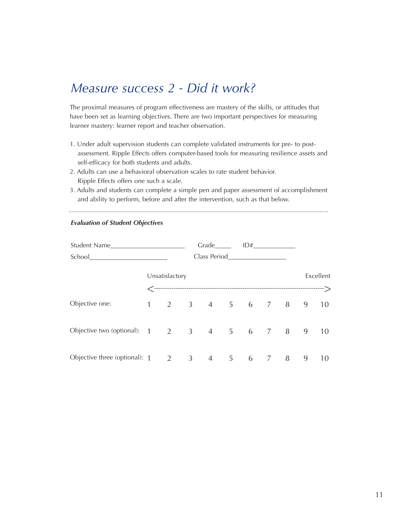## *Measure success 2 - Did it work?*

The proximal measures of program effectiveness are mastery of the skills, or attitudes that have been set as learning objectives. There are two important perspectives for measuring learner mastery: learner report and teacher observation.

- 1. Under adult supervision students can complete validated instruments for pre- to postassessment. Ripple Effects offers computer-based tools for measuring resilience assets and self-efficacy for both students and adults.
- 2. Adults can use a behavioral observation scales to rate student behavior. Ripple Effects offers one such a scale.
- 3. Adults and students can complete a simple pen and paper assessment of accomplishment and ability to perform, before and after the intervention, such as that below.

|                                                           |                        |                | $Grade \qquad \qquad ID# \qquad \qquad$ |            |  |       |  |   |           |
|-----------------------------------------------------------|------------------------|----------------|-----------------------------------------|------------|--|-------|--|---|-----------|
| School                                                    |                        |                | Class Period                            |            |  |       |  |   |           |
|                                                           |                        | Unsatisfactory |                                         |            |  |       |  |   | Excellent |
| Objective one:                                            | $1 \quad \blacksquare$ | $\overline{2}$ | 3 4 5 6 7 8                             |            |  |       |  | 9 | 10        |
| Objective two (optional): $1 \t2 \t3 \t4 \t5 \t6 \t7 \t8$ |                        |                |                                         |            |  |       |  | 9 | 10        |
| Objective three (optional): $1 \t 2 \t 3$                 |                        |                | $\overline{4}$                          | $5\degree$ |  | 6 7 8 |  | 9 | 10        |

### *Evaluation of Student Objectives*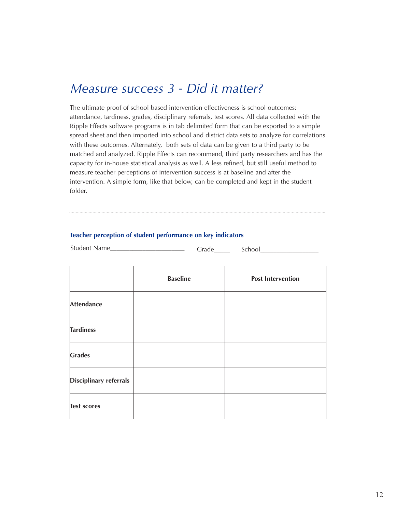## *Measure success 3 - Did it matter?*

The ultimate proof of school based intervention effectiveness is school outcomes: attendance, tardiness, grades, disciplinary referrals, test scores. All data collected with the Ripple Effects software programs is in tab delimited form that can be exported to a simple spread sheet and then imported into school and district data sets to analyze for correlations with these outcomes. Alternately, both sets of data can be given to a third party to be matched and analyzed. Ripple Effects can recommend, third party researchers and has the capacity for in-house statistical analysis as well. A less refined, but still useful method to measure teacher perceptions of intervention success is at baseline and after the intervention. A simple form, like that below, can be completed and kept in the student folder.

### **Teacher perception of student performance on key indicators**

Student Name\_\_\_\_\_\_\_\_\_\_\_\_\_\_\_\_\_\_\_\_\_\_\_ Grade\_\_\_\_\_ School\_\_\_\_\_\_\_\_\_\_\_\_\_\_\_\_\_\_

|                               | <b>Baseline</b> | <b>Post Intervention</b> |
|-------------------------------|-----------------|--------------------------|
| <b>Attendance</b>             |                 |                          |
| <b>Tardiness</b>              |                 |                          |
| <b>Grades</b>                 |                 |                          |
| <b>Disciplinary referrals</b> |                 |                          |
| <b>Test scores</b>            |                 |                          |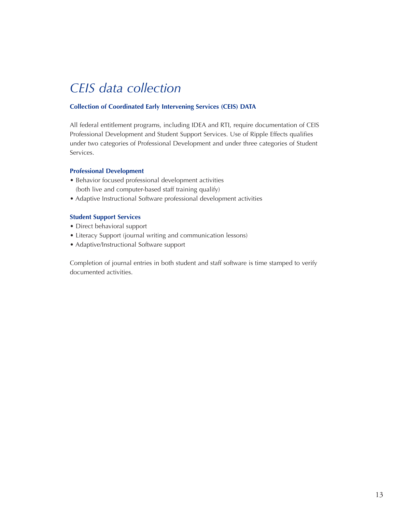# *CEIS data collection*

### **Collection of Coordinated Early Intervening Services (CEIS) DATA**

All federal entitlement programs, including IDEA and RTI, require documentation of CEIS Professional Development and Student Support Services. Use of Ripple Effects qualifies under two categories of Professional Development and under three categories of Student Services.

### **Professional Development**

- Behavior focused professional development activities (both live and computer-based staff training qualify)
- Adaptive Instructional Software professional development activities

### **Student Support Services**

- Direct behavioral support
- Literacy Support (journal writing and communication lessons)
- Adaptive/Instructional Software support

Completion of journal entries in both student and staff software is time stamped to verify documented activities.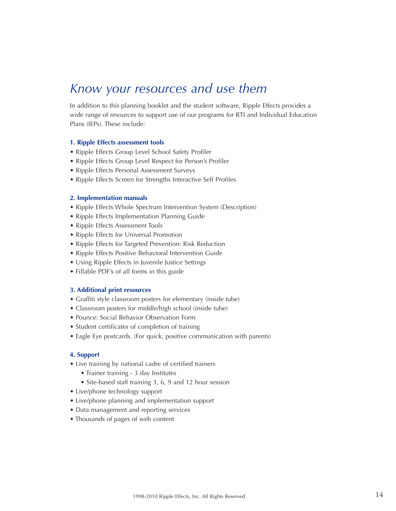## *Know your resources and use them*

In addition to this planning booklet and the student software, Ripple Effects provides a wide range of resources to support use of our programs for RTI and Individual Education Plans (IEPs). These include:

### **1. Ripple Effects assessment tools**

- Ripple Effects Group Level School Safety Profiler
- Ripple Effects Group Level Respect for Person's Profiler
- Ripple Effects Personal Assessment Surveys
- Ripple Effects Screen for Strengths Interactive Self Profiles

### **2. Implementation manuals**

- Ripple Effects Whole Spectrum Intervention System (Description)
- Ripple Effects Implementation Planning Guide
- Ripple Effects Assessment Tools
- Ripple Effects for Universal Promotion
- Ripple Effects for Targeted Prevention: Risk Reduction
- Ripple Effects Positive Behavioral Intervention Guide
- Using Ripple Effects in Juvenile Justice Settings
- Fillable PDF's of all forms in this guide

### **3. Additional print resources**

- Graffiti style classroom posters for elementary (inside tube)
- Classroom posters for middle/high school (inside tube)
- Pounce: Social Behavior Observation Form
- Student certificates of completion of training
- Eagle Eye postcards. (For quick, positive communication with parents)

### **4. Support**

- Live training by national cadre of certified trainers
	- Trainer training 3 day Institutes
	- Site-based staff training 3, 6, 9 and 12 hour session
- Live/phone technology support
- Live/phone planning and implementation support
- Data management and reporting services
- Thousands of pages of web content